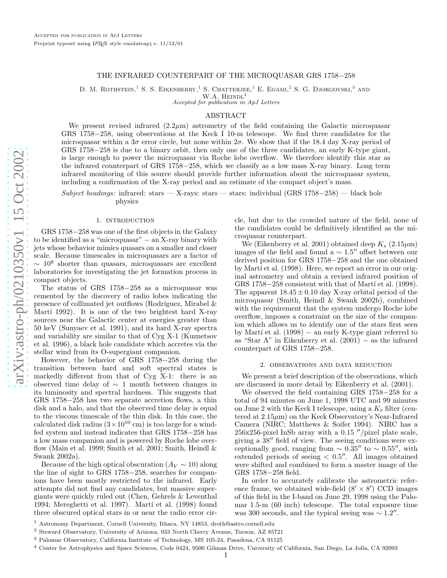# THE INFRARED COUNTERPART OF THE MICROQUASAR GRS 1758–258

D. M. ROTHSTEIN,<sup>1</sup> S. S. EIKENBERRY,<sup>1</sup> S. CHATTERJEE,<sup>1</sup> E. EGAMI,<sup>2</sup> S. G. DJORGOVSKI,<sup>3</sup> AND

 $W.A.$  Heindl<sup>4</sup> Accepted for publication in ApJ Letters

### ABSTRACT

We present revised infrared  $(2.2\mu m)$  astrometry of the field containing the Galactic microquasar GRS 1758-258, using observations at the Keck I 10-m telescope. We find three candidates for the microquasar within a  $3\sigma$  error circle, but none within  $2\sigma$ . We show that if the 18.4 day X-ray period of GRS 1758 −258 is due to a binary orbit, then only one of the three candidates, an early K-type giant, is large enough to power the microquasar via Roche lobe overflow. We therefore identify this star as the infrared counterpart of GRS 1758–258, which we classify as a low mass X-ray binary. Long term infrared monitoring of this source should provide further information about the microquasar system, including a confirmation of the X-ray period and an estimate of the compact object's mass.

 $Subject\ headings:$  infrared: stars  $-$  X-rays: stars  $-$  stars: individual (GRS 1758-258)  $-$  black hole physics

# 1. INTRODUCTION

GRS 1758 −258 was one of the first objects in the Galaxy to be identified as a "microquasar" − an X-ray binary with jets whose behavior mimics quasars on a smaller and closer scale. Because timescales in microquasars are a factor of  $\sim 10^8$  shorter than quasars, microquasars are excellent laboratories for investigating the jet formation process in compact objects.

The status of GRS 1758-258 as a microquasar was cemented by the discovery of radio lobes indicating the presence of collimated jet outflows (Rodríguez, Mirabel  $\&$ Martí 1992). It is one of the two brightest hard X-ray sources near the Galactic center at energies greater than 50 keV (Sunyaev et al. 1991), and its hard X-ray spectra and variability are similar to that of Cyg X-1 (Kuznetsov et al. 1996), a black hole candidate which accretes via the stellar wind from its O-supergiant companion.

However, the behavior of GRS 1758-258 during the transition between hard and soft spectral states is markedly different from that of Cyg X-1: there is an observed time delay of  $\sim$  1 month between changes in its luminosity and spectral hardness. This suggests that GRS 1758 −258 has two separate accretion flows, a thin disk and a halo, and that the observed time delay is equal to the viscous timescale of the thin disk. In this case, the calculated disk radius  $(3 \times 10^{10} \text{ cm})$  is too large for a windfed system and instead indicates that GRS 1758−258 has a low mass companion and is powered by Roche lobe overflow (Main et al. 1999; Smith et al. 2001; Smith, Heindl  $\&$ Swank 2002a).

Because of the high optical obscuration  $(A_V \sim 10)$  along the line of sight to GRS 1758–258, searches for companions have been mostly restricted to the infrared. Early attempts did not find any candidates, but massive supergiants were quickly ruled out (Chen, Gehrels & Leventhal 1994; Mereghetti et al. 1997). Martí et al.  $(1998)$  found three obscured optical stars in or near the radio error circle, but due to the crowded nature of the field, none of the candidates could be definitively identified as the microquasar counterpart.

We (Eikenberry et al. 2001) obtained deep  $K_s$  (2.15 $\mu$ m) images of the field and found a  $\sim 1.5''$  offset between our derived position for GRS 1758–258 and the one obtained by Martí et al. (1998). Here, we report an error in our original astrometry and obtain a revised infrared position of  $GRS 1758-258$  consistent with that of Martí et al.  $(1998)$ . The apparent  $18.45 \pm 0.10$  day X-ray orbital period of the microquasar (Smith, Heindl & Swank 2002b), combined with the requirement that the system undergo Roche lobe overflow, imposes a constraint on the size of the companion which allows us to identify one of the stars first seen by Martí et al.  $(1998)$  – an early K-type giant referred to as "Star A" in Eikenberry et al.  $(2001) -$  as the infrared counterpart of GRS 1758 −258.

# 2. observations and data reduction

We present a brief description of the observations, which are discussed in more detail by Eikenberry et al. (2001).

We observed the field containing GRS 1758-258 for a total of 94 minutes on June 1, 1998 UTC and 99 minutes on June 2 with the Keck I telescope, using a  $K_s$  filter (centered at  $2.15\mu$ m) on the Keck Observatory's Near-Infrared Camera (NIRC; Matthews & Soifer 1994). NIRC has a  $256x256$ -pixel InSb array with a 0.15  $''/$ pixel plate scale, giving a 38′′ field of view. The seeing conditions were exceptionally good, ranging from  $\sim 0.35''$  to  $\sim 0.55''$ , with extended periods of seeing  $< 0.5''$ . All images obtained were shifted and combined to form a master image of the GRS 1758 −258 field.

In order to accurately calibrate the astrometric reference frame, we obtained wide-field  $(8' \times 8')$  CCD images of this field in the I-band on June 29, 1998 using the Palomar 1.5-m (60 inch) telescope. The total exposure time was 300 seconds, and the typical seeing was  $\sim 1.2''$ .

<sup>1</sup> Astronomy Department, Cornell University, Ithaca, NY 14853, droth@astro.cornell.edu

<sup>2</sup> Steward Observatory, University of Arizona, 933 North Cherry Avenue, Tucson, AZ 85721

<sup>3</sup> Palomar Observatory, California Institute of Technology, MS 105-24, Pasadena, CA 91125

<sup>4</sup> Center for Astrophysics and Space Sciences, Code 0424, 9500 Gilman Drive, University of California, San Diego, La Jolla, CA 92093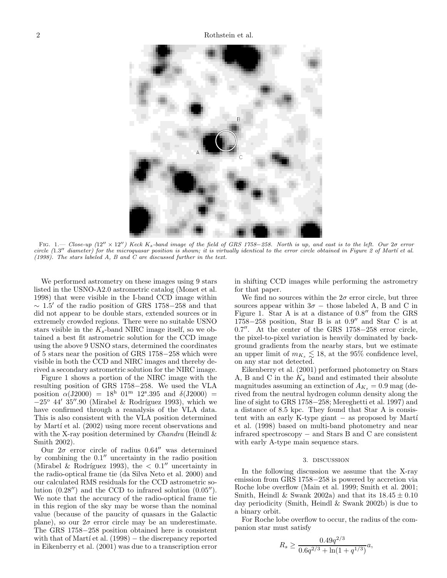

FIG. 1.— Close-up  $(12'' \times 12'')$  Keck K<sub>s</sub>-band image of the field of GRS 1758–258. North is up, and east is to the left. Our 2σ error circle (1.3" diameter) for the microquasar position is shown; it is virtually identical to the error circle obtained in Figure 2 of Martí et al. (1998). The stars labeled A, B and C are discussed further in the text.

We performed astrometry on these images using 9 stars listed in the USNO-A2.0 astrometric catalog (Monet et al. 1998) that were visible in the I-band CCD image within  $\sim 1.5'$  of the radio position of GRS 1758–258 and that did not appear to be double stars, extended sources or in extremely crowded regions. There were no suitable USNO stars visible in the  $K_s$ -band NIRC image itself, so we obtained a best fit astrometric solution for the CCD image using the above 9 USNO stars, determined the coordinates of 5 stars near the position of GRS 1758−258 which were visible in both the CCD and NIRC images and thereby derived a secondary astrometric solution for the NIRC image.

Figure 1 shows a portion of the NIRC image with the resulting position of GRS 1758−258. We used the VLA position  $\alpha(J2000) = 18^h 01^m 12^s.395$  and  $\delta(J2000) =$  $-25^{\circ}$  44'  $35^{\prime\prime}$ .90 (Mirabel & Rodríguez 1993), which we have confirmed through a reanalysis of the VLA data. This is also consistent with the VLA position determined by Martí et al.  $(2002)$  using more recent observations and with the X-ray position determined by *Chandra* (Heindl  $\&$ Smith 2002).

Our  $2\sigma$  error circle of radius 0.64″ was determined by combining the  $0.1''$  uncertainty in the radio position (Mirabel & Rodríguez 1993), the  $< 0.1$ " uncertainty in the radio-optical frame tie (da Silva Neto et al. 2000) and our calculated RMS residuals for the CCD astrometric solution (0.28′′) and the CCD to infrared solution (0.05′′). We note that the accuracy of the radio-optical frame tie in this region of the sky may be worse than the nominal value (because of the paucity of quasars in the Galactic plane), so our  $2\sigma$  error circle may be an underestimate. The GRS 1758−258 position obtained here is consistent with that of Martí et al.  $(1998)$  – the discrepancy reported in Eikenberry et al. (2001) was due to a transcription error in shifting CCD images while performing the astrometry for that paper.

We find no sources within the  $2\sigma$  error circle, but three sources appear within  $3\sigma$  – those labeled A, B and C in Figure 1. Star A is at a distance of 0.8" from the GRS  $1758-258$  position, Star B is at  $0.9''$  and Star C is at 0.7". At the center of the GRS 1758-258 error circle, the pixel-to-pixel variation is heavily dominated by background gradients from the nearby stars, but we estimate an upper limit of  $m_{K_s} \lesssim 18$ , at the 95% confidence level, on any star not detected.

Eikenberry et al. (2001) performed photometry on Stars A, B and C in the  $K_s$  band and estimated their absolute magnitudes assuming an extinction of  $A_{K_s} = 0.9$  mag (derived from the neutral hydrogen column density along the line of sight to GRS 1758−258; Mereghetti et al. 1997) and a distance of 8.5 kpc. They found that Star A is consistent with an early K-type giant  $-$  as proposed by Martí et al. (1998) based on multi-band photometry and near infrared spectroscopy − and Stars B and C are consistent with early A-type main sequence stars.

#### 3. discussion

In the following discussion we assume that the X-ray emission from GRS 1758−258 is powered by accretion via Roche lobe overflow (Main et al. 1999; Smith et al. 2001; Smith, Heindl & Swank 2002a) and that its  $18.45 \pm 0.10$ day periodicity (Smith, Heindl & Swank 2002b) is due to a binary orbit.

For Roche lobe overflow to occur, the radius of the companion star must satisfy

$$
R_s \ge \frac{0.49q^{2/3}}{0.6q^{2/3} + \ln(1 + q^{1/3})}a,
$$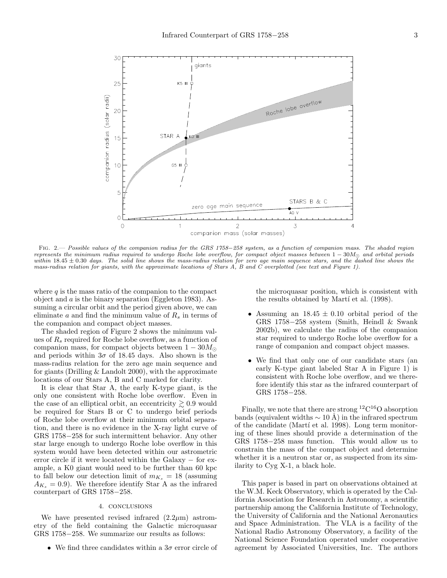

Fig. 2.— Possible values of the companion radius for the GRS 1758−258 system, as a function of companion mass. The shaded region represents the minimum radius required to undergo Roche lobe overflow, for compact object masses between  $1-30M<sub>°</sub>$  and orbital periods within  $18.45 \pm 0.30$  days. The solid line shows the mass-radius relation for zero age main sequence stars, and the dashed line shows the mass-radius relation for giants, with the approximate locations of Stars A, B and C overplotted (see text and Figure 1).

where  $q$  is the mass ratio of the companion to the compact object and  $\alpha$  is the binary separation (Eggleton 1983). Assuming a circular orbit and the period given above, we can eliminate a and find the minimum value of  $R_s$  in terms of the companion and compact object masses.

The shaded region of Figure 2 shows the minimum values of  $R_s$  required for Roche lobe overflow, as a function of companion mass, for compact objects between  $1 - 30M_{\odot}$ and periods within  $3\sigma$  of 18.45 days. Also shown is the mass-radius relation for the zero age main sequence and for giants (Drilling & Landolt 2000), with the approximate locations of our Stars A, B and C marked for clarity.

It is clear that Star A, the early K-type giant, is the only one consistent with Roche lobe overflow. Even in the case of an elliptical orbit, an eccentricity  $\geq 0.9$  would be required for Stars B or C to undergo brief periods of Roche lobe overflow at their minimum orbital separation, and there is no evidence in the X-ray light curve of GRS 1758−258 for such intermittent behavior. Any other star large enough to undergo Roche lobe overflow in this system would have been detected within our astrometric error circle if it were located within the Galaxy − for example, a K0 giant would need to be further than 60 kpc to fall below our detection limit of  $m_{K_s} = 18$  (assuming  $A_{K_s} = 0.9$ . We therefore identify Star A as the infrared counterpart of GRS 1758−258.

### 4. conclusions

We have presented revised infrared  $(2.2\mu m)$  astrometry of the field containing the Galactic microquasar GRS 1758−258. We summarize our results as follows:

• We find three candidates within a  $3\sigma$  error circle of

the microquasar position, which is consistent with the results obtained by Martí et al. (1998).

- Assuming an  $18.45 \pm 0.10$  orbital period of the GRS 1758−258 system (Smith, Heindl & Swank 2002b), we calculate the radius of the companion star required to undergo Roche lobe overflow for a range of companion and compact object masses.
- We find that only one of our candidate stars (an early K-type giant labeled Star A in Figure 1) is consistent with Roche lobe overflow, and we therefore identify this star as the infrared counterpart of GRS 1758−258.

Finally, we note that there are strong  ${}^{12}C^{16}O$  absorption bands (equivalent widths  $\sim 10 \text{ Å}$ ) in the infrared spectrum of the candidate (Martí et al. 1998). Long term monitoring of these lines should provide a determination of the GRS 1758−258 mass function. This would allow us to constrain the mass of the compact object and determine whether it is a neutron star or, as suspected from its similarity to Cyg X-1, a black hole.

This paper is based in part on observations obtained at the W.M. Keck Observatory, which is operated by the California Association for Research in Astronomy, a scientific partnership among the California Institute of Technology, the University of California and the National Aeronautics and Space Administration. The VLA is a facility of the National Radio Astronomy Observatory, a facility of the National Science Foundation operated under cooperative agreement by Associated Universities, Inc. The authors